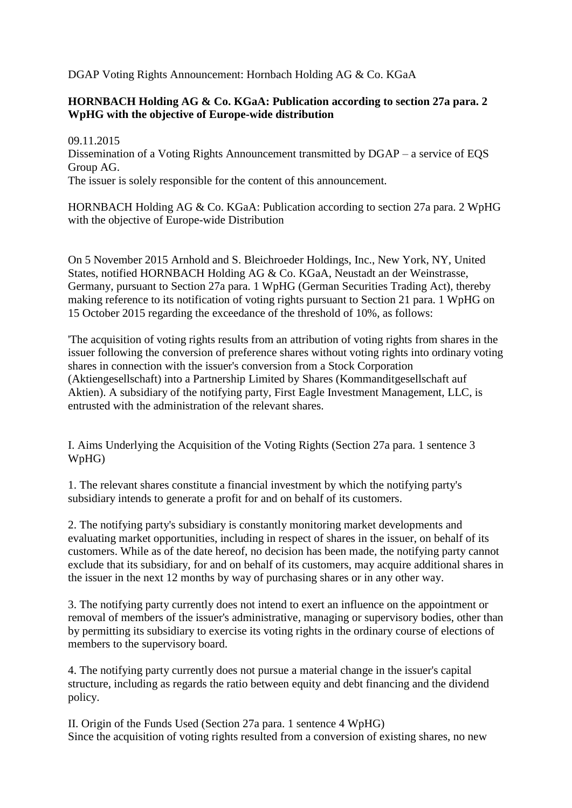DGAP Voting Rights Announcement: Hornbach Holding AG & Co. KGaA

## **HORNBACH Holding AG & Co. KGaA: Publication according to section 27a para. 2 WpHG with the objective of Europe-wide distribution**

09.11.2015 Dissemination of a Voting Rights Announcement transmitted by DGAP – a service of EQS Group AG. The issuer is solely responsible for the content of this announcement.

HORNBACH Holding AG & Co. KGaA: Publication according to section 27a para. 2 WpHG with the objective of Europe-wide Distribution

On 5 November 2015 Arnhold and S. Bleichroeder Holdings, Inc., New York, NY, United States, notified HORNBACH Holding AG & Co. KGaA, Neustadt an der Weinstrasse, Germany, pursuant to Section 27a para. 1 WpHG (German Securities Trading Act), thereby making reference to its notification of voting rights pursuant to Section 21 para. 1 WpHG on 15 October 2015 regarding the exceedance of the threshold of 10%, as follows:

'The acquisition of voting rights results from an attribution of voting rights from shares in the issuer following the conversion of preference shares without voting rights into ordinary voting shares in connection with the issuer's conversion from a Stock Corporation (Aktiengesellschaft) into a Partnership Limited by Shares (Kommanditgesellschaft auf Aktien). A subsidiary of the notifying party, First Eagle Investment Management, LLC, is entrusted with the administration of the relevant shares.

I. Aims Underlying the Acquisition of the Voting Rights (Section 27a para. 1 sentence 3 WpHG)

1. The relevant shares constitute a financial investment by which the notifying party's subsidiary intends to generate a profit for and on behalf of its customers.

2. The notifying party's subsidiary is constantly monitoring market developments and evaluating market opportunities, including in respect of shares in the issuer, on behalf of its customers. While as of the date hereof, no decision has been made, the notifying party cannot exclude that its subsidiary, for and on behalf of its customers, may acquire additional shares in the issuer in the next 12 months by way of purchasing shares or in any other way.

3. The notifying party currently does not intend to exert an influence on the appointment or removal of members of the issuer's administrative, managing or supervisory bodies, other than by permitting its subsidiary to exercise its voting rights in the ordinary course of elections of members to the supervisory board.

4. The notifying party currently does not pursue a material change in the issuer's capital structure, including as regards the ratio between equity and debt financing and the dividend policy.

II. Origin of the Funds Used (Section 27a para. 1 sentence 4 WpHG) Since the acquisition of voting rights resulted from a conversion of existing shares, no new